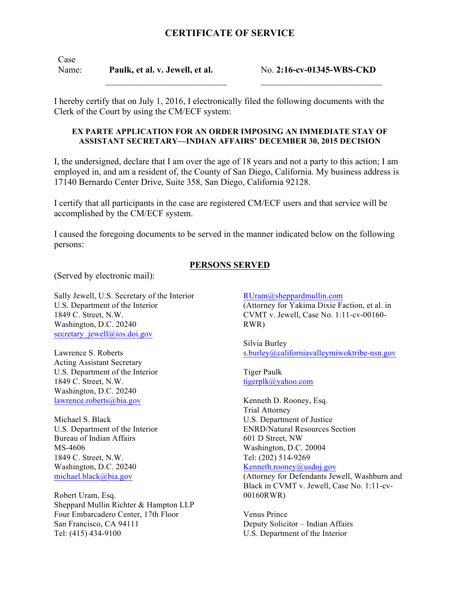## **CERTIFICATE OF SERVICE**

Case Name: **Paulk, et al. v. Jewell, et al.**

 $\mathcal{L}_\text{max}$ 

No. **2:16-cv-01345-WBS-CKD**  $\mathcal{L}_\text{max}$ 

I hereby certify that on July 1, 2016, I electronically filed the following documents with the Clerk of the Court by using the CM/ECF system:

## **EX PARTE APPLICATION FOR AN ORDER IMPOSING AN IMMEDIATE STAY OF ASSISTANT SECRETARY—INDIAN AFFAIRS' DECEMBER 30, 2015 DECISION**

I, the undersigned, declare that I am over the age of 18 years and not a party to this action; I am employed in, and am a resident of, the County of San Diego, California. My business address is 17140 Bernardo Center Drive, Suite 358, San Diego, California 92128.

I certify that all participants in the case are registered CM/ECF users and that service will be accomplished by the CM/ECF system.

I caused the foregoing documents to be served in the manner indicated below on the following persons:

## **PERSONS SERVED**

(Served by electronic mail):

Sally Jewell, U.S. Secretary of the Interior U.S. Department of the Interior 1849 C. Street, N.W. Washington, D.C. 20240 secretary jewell@ios.doi.gov

Lawrence S. Roberts Acting Assistant Secretary U.S. Department of the Interior 1849 C. Street, N.W. Washington, D.C. 20240 lawrence.roberts@bia.gov

Michael S. Black U.S. Department of the Interior Bureau of Indian Affairs MS-4606 1849 C. Street, N.W. Washington, D.C. 20240 michael.black@bia.gov

Robert Uram, Esq. Sheppard Mullin Richter & Hampton LLP Four Embarcadero Center, 17th Floor San Francisco, CA 94111 Tel: (415) 434-9100

RUram@sheppardmullin.com (Attorney for Yakima Dixie Faction, et al. in CVMT v. Jewell, Case No. 1:11-cv-00160- RWR)

Silvia Burley s.burley@californiavalleymiwoktribe-nsn.gov

Tiger Paulk tigerplk@yahoo.com

Kenneth D. Rooney, Esq. Trial Attorney U.S. Department of Justice ENRD/Natural Resources Section 601 D Street, NW Washington, D.C. 20004 Tel: (202) 514-9269 Kenneth.rooney@usdoj.gov (Attorney for Defendants Jewell, Washburn and

Black in CVMT v. Jewell, Case No. 1:11-cv-00160RWR)

Venus Prince Deputy Solicitor – Indian Affairs U.S. Department of the Interior